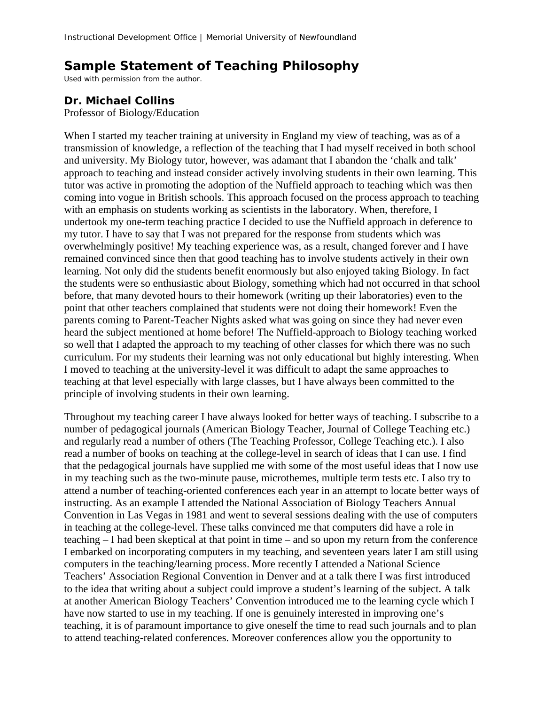## **Sample Statement of Teaching Philosophy**

Used with permission from the author.

## **Dr. Michael Collins**

Professor of Biology/Education

When I started my teacher training at university in England my view of teaching, was as of a transmission of knowledge, a reflection of the teaching that I had myself received in both school and university. My Biology tutor, however, was adamant that I abandon the 'chalk and talk' approach to teaching and instead consider actively involving students in their own learning. This tutor was active in promoting the adoption of the Nuffield approach to teaching which was then coming into vogue in British schools. This approach focused on the process approach to teaching with an emphasis on students working as scientists in the laboratory. When, therefore, I undertook my one-term teaching practice I decided to use the Nuffield approach in deference to my tutor. I have to say that I was not prepared for the response from students which was overwhelmingly positive! My teaching experience was, as a result, changed forever and I have remained convinced since then that good teaching has to involve students actively in their own learning. Not only did the students benefit enormously but also enjoyed taking Biology. In fact the students were so enthusiastic about Biology, something which had not occurred in that school before, that many devoted hours to their homework (writing up their laboratories) even to the point that other teachers complained that students were not doing their homework! Even the parents coming to Parent-Teacher Nights asked what was going on since they had never even heard the subject mentioned at home before! The Nuffield-approach to Biology teaching worked so well that I adapted the approach to my teaching of other classes for which there was no such curriculum. For my students their learning was not only educational but highly interesting. When I moved to teaching at the university-level it was difficult to adapt the same approaches to teaching at that level especially with large classes, but I have always been committed to the principle of involving students in their own learning.

Throughout my teaching career I have always looked for better ways of teaching. I subscribe to a number of pedagogical journals (American Biology Teacher, Journal of College Teaching etc.) and regularly read a number of others (The Teaching Professor, College Teaching etc.). I also read a number of books on teaching at the college-level in search of ideas that I can use. I find that the pedagogical journals have supplied me with some of the most useful ideas that I now use in my teaching such as the two-minute pause, microthemes, multiple term tests etc. I also try to attend a number of teaching-oriented conferences each year in an attempt to locate better ways of instructing. As an example I attended the National Association of Biology Teachers Annual Convention in Las Vegas in 1981 and went to several sessions dealing with the use of computers in teaching at the college-level. These talks convinced me that computers did have a role in teaching – I had been skeptical at that point in time – and so upon my return from the conference I embarked on incorporating computers in my teaching, and seventeen years later I am still using computers in the teaching/learning process. More recently I attended a National Science Teachers' Association Regional Convention in Denver and at a talk there I was first introduced to the idea that writing about a subject could improve a student's learning of the subject. A talk at another American Biology Teachers' Convention introduced me to the learning cycle which I have now started to use in my teaching. If one is genuinely interested in improving one's teaching, it is of paramount importance to give oneself the time to read such journals and to plan to attend teaching-related conferences. Moreover conferences allow you the opportunity to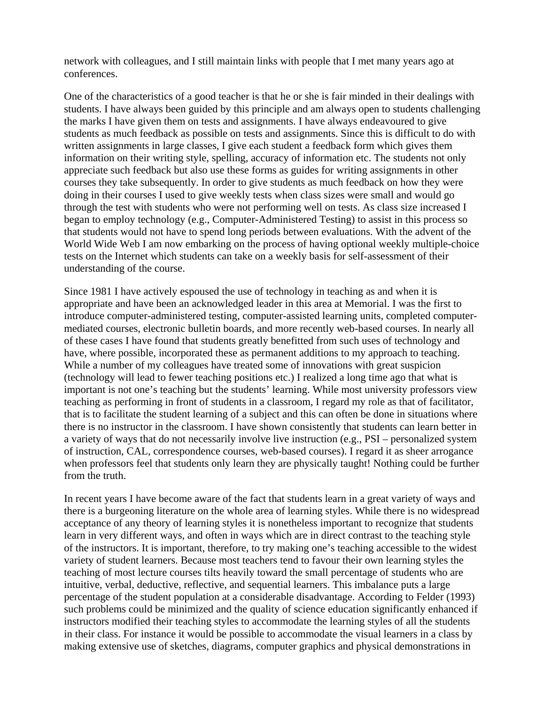network with colleagues, and I still maintain links with people that I met many years ago at conferences.

One of the characteristics of a good teacher is that he or she is fair minded in their dealings with students. I have always been guided by this principle and am always open to students challenging the marks I have given them on tests and assignments. I have always endeavoured to give students as much feedback as possible on tests and assignments. Since this is difficult to do with written assignments in large classes, I give each student a feedback form which gives them information on their writing style, spelling, accuracy of information etc. The students not only appreciate such feedback but also use these forms as guides for writing assignments in other courses they take subsequently. In order to give students as much feedback on how they were doing in their courses I used to give weekly tests when class sizes were small and would go through the test with students who were not performing well on tests. As class size increased I began to employ technology (e.g., Computer-Administered Testing) to assist in this process so that students would not have to spend long periods between evaluations. With the advent of the World Wide Web I am now embarking on the process of having optional weekly multiple-choice tests on the Internet which students can take on a weekly basis for self-assessment of their understanding of the course.

Since 1981 I have actively espoused the use of technology in teaching as and when it is appropriate and have been an acknowledged leader in this area at Memorial. I was the first to introduce computer-administered testing, computer-assisted learning units, completed computermediated courses, electronic bulletin boards, and more recently web-based courses. In nearly all of these cases I have found that students greatly benefitted from such uses of technology and have, where possible, incorporated these as permanent additions to my approach to teaching. While a number of my colleagues have treated some of innovations with great suspicion (technology will lead to fewer teaching positions etc.) I realized a long time ago that what is important is not one's teaching but the students' learning. While most university professors view teaching as performing in front of students in a classroom, I regard my role as that of facilitator, that is to facilitate the student learning of a subject and this can often be done in situations where there is no instructor in the classroom. I have shown consistently that students can learn better in a variety of ways that do not necessarily involve live instruction (e.g., PSI – personalized system of instruction, CAL, correspondence courses, web-based courses). I regard it as sheer arrogance when professors feel that students only learn they are physically taught! Nothing could be further from the truth.

In recent years I have become aware of the fact that students learn in a great variety of ways and there is a burgeoning literature on the whole area of learning styles. While there is no widespread acceptance of any theory of learning styles it is nonetheless important to recognize that students learn in very different ways, and often in ways which are in direct contrast to the teaching style of the instructors. It is important, therefore, to try making one's teaching accessible to the widest variety of student learners. Because most teachers tend to favour their own learning styles the teaching of most lecture courses tilts heavily toward the small percentage of students who are intuitive, verbal, deductive, reflective, and sequential learners. This imbalance puts a large percentage of the student population at a considerable disadvantage. According to Felder (1993) such problems could be minimized and the quality of science education significantly enhanced if instructors modified their teaching styles to accommodate the learning styles of all the students in their class. For instance it would be possible to accommodate the visual learners in a class by making extensive use of sketches, diagrams, computer graphics and physical demonstrations in